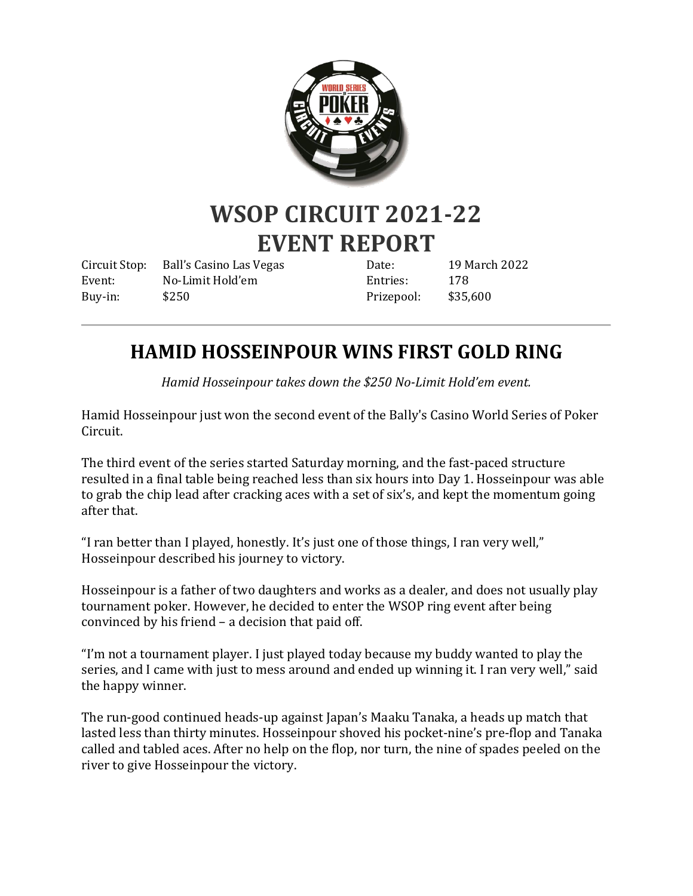

# **WSOP CIRCUIT 2021-22 EVENT REPORT**

Circuit Stop: Ball's Casino Las Vegas Event: No-Limit Hold'em Buy-in: \$250

Date: 19 March 2022 Entries: 178 Prizepool: \$35,600

## **HAMID HOSSEINPOUR WINS FIRST GOLD RING**

*Hamid Hosseinpour takes down the \$250 No-Limit Hold'em event.*

Hamid Hosseinpour just won the second event of the Bally's Casino World Series of Poker Circuit.

The third event of the series started Saturday morning, and the fast-paced structure resulted in a final table being reached less than six hours into Day 1. Hosseinpour was able to grab the chip lead after cracking aces with a set of six's, and kept the momentum going after that.

"I ran better than I played, honestly. It's just one of those things, I ran very well," Hosseinpour described his journey to victory.

Hosseinpour is a father of two daughters and works as a dealer, and does not usually play tournament poker. However, he decided to enter the WSOP ring event after being convinced by his friend – a decision that paid off.

"I'm not a tournament player. I just played today because my buddy wanted to play the series, and I came with just to mess around and ended up winning it. I ran very well," said the happy winner.

The run-good continued heads-up against Japan's Maaku Tanaka, a heads up match that lasted less than thirty minutes. Hosseinpour shoved his pocket-nine's pre-flop and Tanaka called and tabled aces. After no help on the flop, nor turn, the nine of spades peeled on the river to give Hosseinpour the victory.